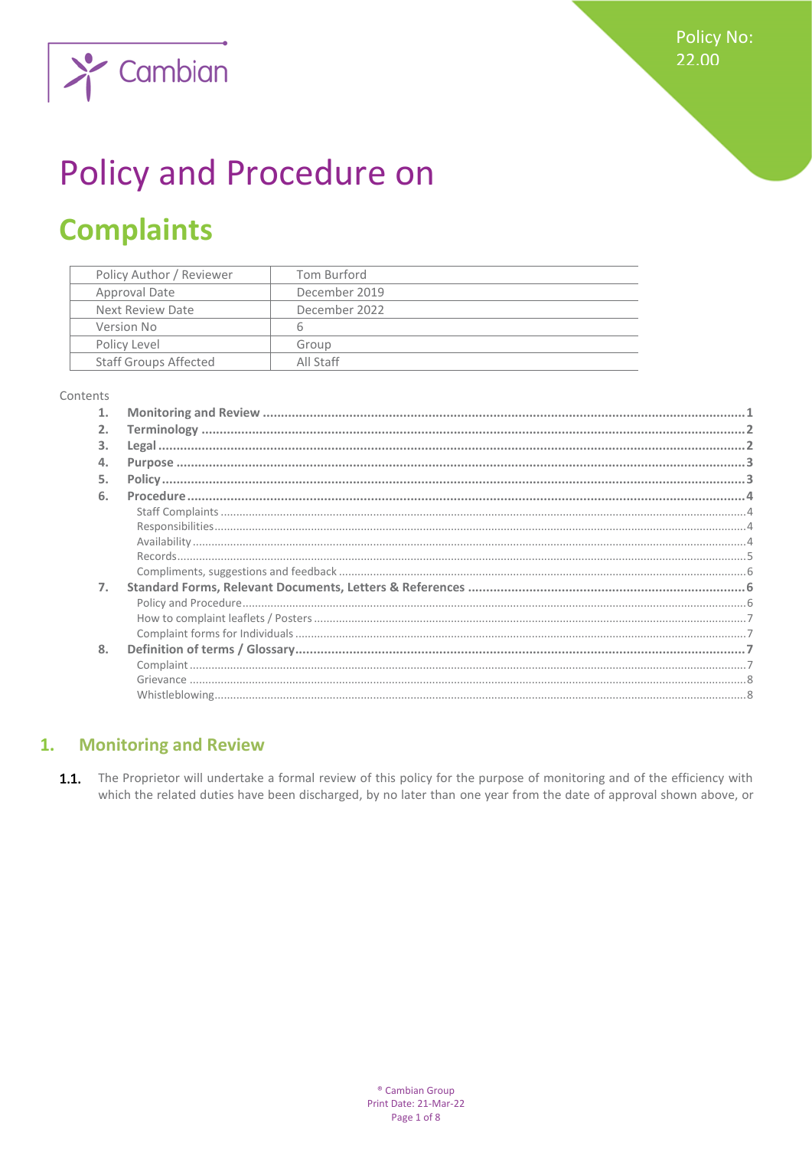**Policy No:** 22.00



# **Policy and Procedure on**

## **Complaints**

| Policy Author / Reviewer     | Tom Burford   |
|------------------------------|---------------|
| Approval Date                | December 2019 |
| Next Review Date             | December 2022 |
| Version No                   | 6             |
| Policy Level                 | Group         |
| <b>Staff Groups Affected</b> | All Staff     |

#### Contents

| 2. |  |
|----|--|
| 3. |  |
| 4. |  |
| 5. |  |
| 6. |  |
|    |  |
|    |  |
|    |  |
|    |  |
|    |  |
| 7. |  |
|    |  |
|    |  |
|    |  |
| 8. |  |
|    |  |
|    |  |
|    |  |

#### <span id="page-0-0"></span>**Monitoring and Review**  $1.$

 $1.1.$ The Proprietor will undertake a formal review of this policy for the purpose of monitoring and of the efficiency with which the related duties have been discharged, by no later than one year from the date of approval shown above, or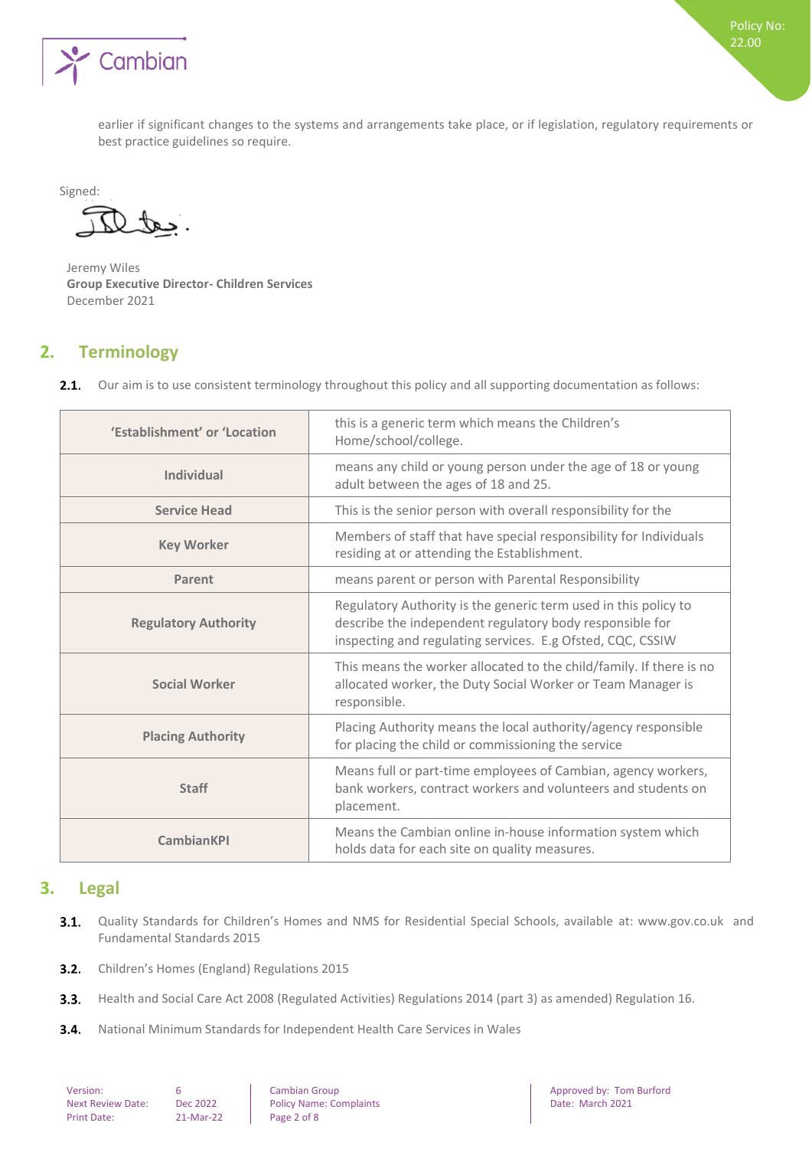

earlier if significant changes to the systems and arrangements take place, or if legislation, regulatory requirements or best practice guidelines so require.

Signed:

 $\mathcal{L}$ 

Jeremy Wiles **Group Executive Director- Children Services**  December 2021

## <span id="page-1-0"></span>**2. Terminology**

Our aim is to use consistent terminology throughout this policy and all supporting documentation as follows:  $2.1.$ 

| 'Establishment' or 'Location | this is a generic term which means the Children's<br>Home/school/college.                                                                                                                 |  |
|------------------------------|-------------------------------------------------------------------------------------------------------------------------------------------------------------------------------------------|--|
| Individual                   | means any child or young person under the age of 18 or young<br>adult between the ages of 18 and 25.                                                                                      |  |
| <b>Service Head</b>          | This is the senior person with overall responsibility for the                                                                                                                             |  |
| <b>Key Worker</b>            | Members of staff that have special responsibility for Individuals<br>residing at or attending the Establishment.                                                                          |  |
| Parent                       | means parent or person with Parental Responsibility                                                                                                                                       |  |
| <b>Regulatory Authority</b>  | Regulatory Authority is the generic term used in this policy to<br>describe the independent regulatory body responsible for<br>inspecting and regulating services. E.g Ofsted, CQC, CSSIW |  |
| <b>Social Worker</b>         | This means the worker allocated to the child/family. If there is no<br>allocated worker, the Duty Social Worker or Team Manager is<br>responsible.                                        |  |
| <b>Placing Authority</b>     | Placing Authority means the local authority/agency responsible<br>for placing the child or commissioning the service                                                                      |  |
| <b>Staff</b>                 | Means full or part-time employees of Cambian, agency workers,<br>bank workers, contract workers and volunteers and students on<br>placement.                                              |  |
| <b>CambianKPI</b>            | Means the Cambian online in-house information system which<br>holds data for each site on quality measures.                                                                               |  |

## <span id="page-1-1"></span>**3. Legal**

- $3.1.$ Quality Standards for Children's Homes and NMS for Residential Special Schools, available at: www.gov.co.uk and Fundamental Standards 2015
- $3.2.$ Children's Homes (England) Regulations 2015
- $3.3.$ Health and Social Care Act 2008 (Regulated Activities) Regulations 2014 (part 3) as amended) Regulation 16.
- $3.4.$ National Minimum Standards for Independent Health Care Services in Wales

| Version:                |
|-------------------------|
| <b>Next Review Date</b> |
| <b>Print Date:</b>      |

 $Re:$  Dec 2022 **Policy Name: Complaints** 

Version: 6 Cambian Group Approved by: Tom Burford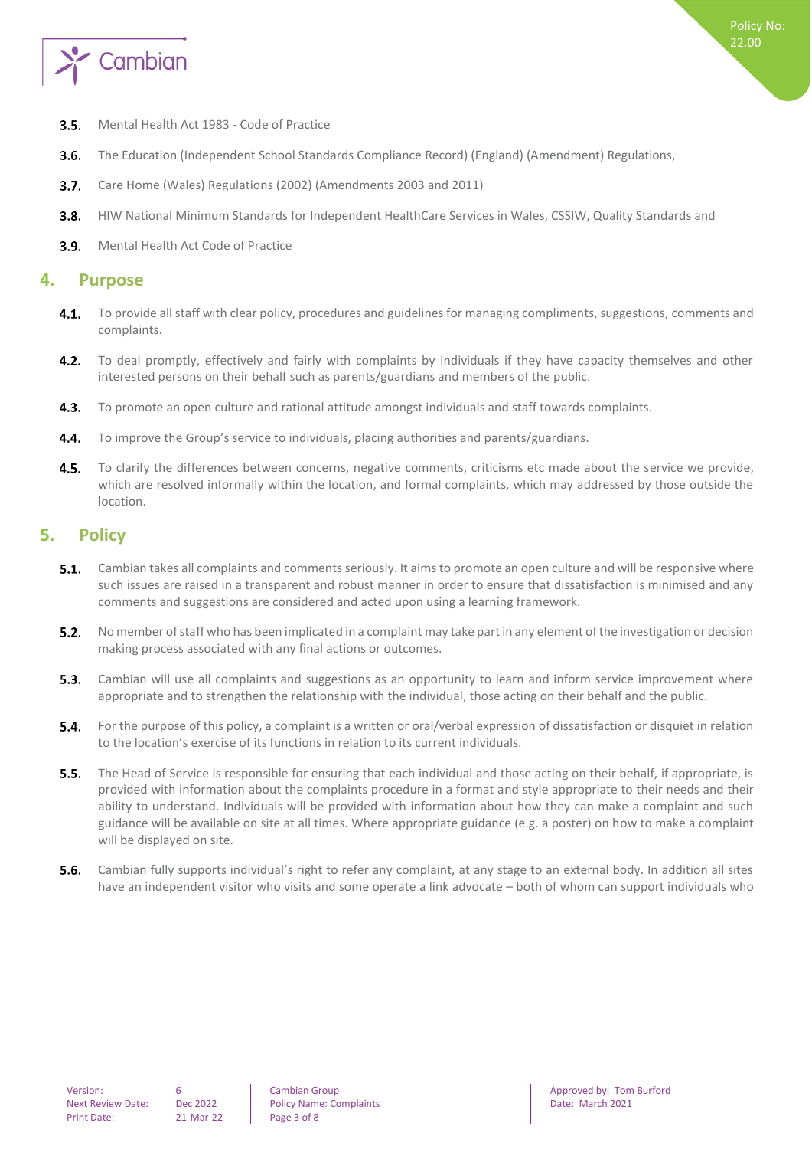

- $3.5.$ Mental Health Act 1983 - Code of Practice
- The Education (Independent School Standards Compliance Record) (England) (Amendment) Regulations,  $3.6.$
- $3.7.$ Care Home (Wales) Regulations (2002) (Amendments 2003 and 2011)
- $3.8.$ HIW National Minimum Standards for Independent HealthCare Services in Wales, CSSIW, Quality Standards and
- <span id="page-2-0"></span> $3.9.$ Mental Health Act Code of Practice

## **4. Purpose**

- $4.1.$ To provide all staff with clear policy, procedures and guidelines for managing compliments, suggestions, comments and complaints.
- $4.2.$ To deal promptly, effectively and fairly with complaints by individuals if they have capacity themselves and other interested persons on their behalf such as parents/guardians and members of the public.
- $4.3.$ To promote an open culture and rational attitude amongst individuals and staff towards complaints.
- $4.4.$ To improve the Group's service to individuals, placing authorities and parents/guardians.
- $4.5.$ To clarify the differences between concerns, negative comments, criticisms etc made about the service we provide, which are resolved informally within the location, and formal complaints, which may addressed by those outside the location.

## <span id="page-2-1"></span>**5. Policy**

- Cambian takes all complaints and comments seriously. It aims to promote an open culture and will be responsive where  $5.1.$ such issues are raised in a transparent and robust manner in order to ensure that dissatisfaction is minimised and any comments and suggestions are considered and acted upon using a learning framework.
- $5.2.$ No member of staff who has been implicated in a complaint may take part in any element of the investigation or decision making process associated with any final actions or outcomes.
- 5.3. Cambian will use all complaints and suggestions as an opportunity to learn and inform service improvement where appropriate and to strengthen the relationship with the individual, those acting on their behalf and the public.
- $5.4.$ For the purpose of this policy, a complaint is a written or oral/verbal expression of dissatisfaction or disquiet in relation to the location's exercise of its functions in relation to its current individuals.
- **5.5.** The Head of Service is responsible for ensuring that each individual and those acting on their behalf, if appropriate, is provided with information about the complaints procedure in a format and style appropriate to their needs and their ability to understand. Individuals will be provided with information about how they can make a complaint and such guidance will be available on site at all times. Where appropriate guidance (e.g. a poster) on how to make a complaint will be displayed on site.
- $5.6.$ Cambian fully supports individual's right to refer any complaint, at any stage to an external body. In addition all sites have an independent visitor who visits and some operate a link advocate – both of whom can support individuals who

Next Review Date: Dec 2022 Policy Name: Complaints Date: March 2021

Version: 6 Cambian Group Approved by: Tom Burford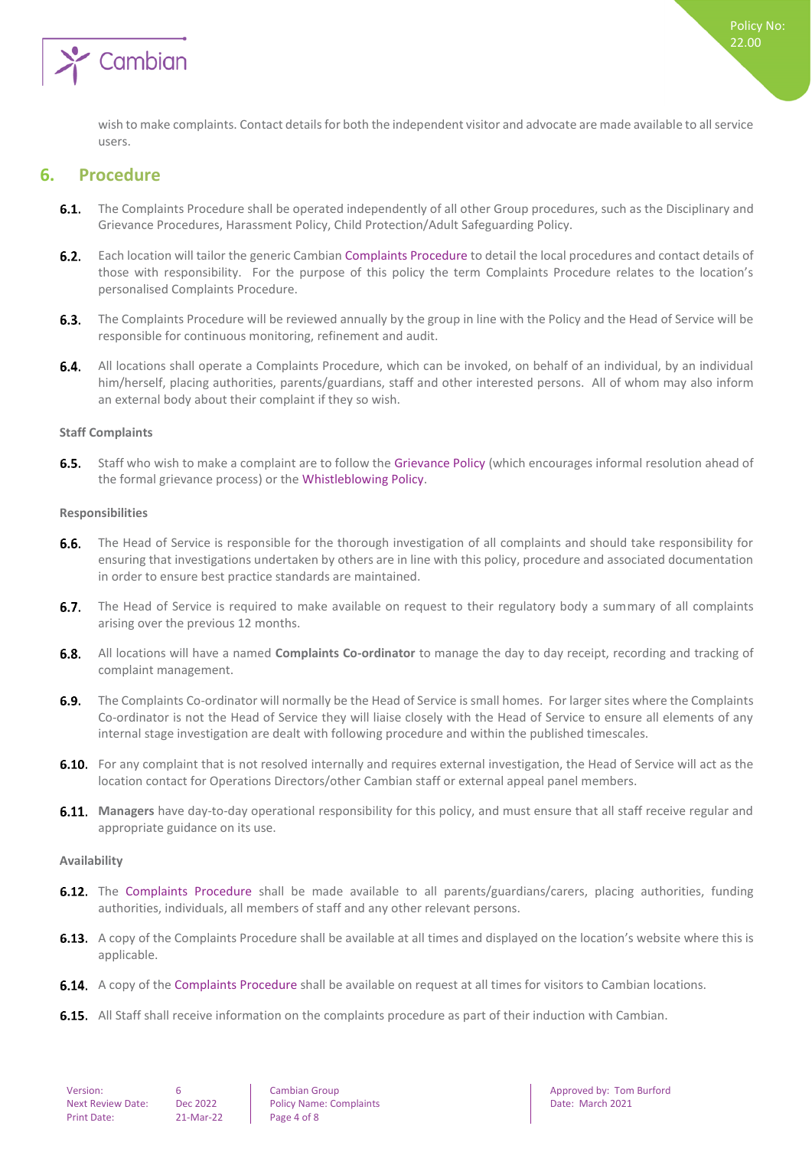

<span id="page-3-0"></span>wish to make complaints. Contact details for both the independent visitor and advocate are made available to all service users.

## **6. Procedure**

- **6.1.** The Complaints Procedure shall be operated independently of all other Group procedures, such as the Disciplinary and Grievance Procedures, Harassment Policy, Child Protection/Adult Safeguarding Policy.
- $6.2.$ Each location will tailor the generic Cambian Complaints Procedure to detail the local procedures and contact details of those with responsibility. For the purpose of this policy the term Complaints Procedure relates to the location's personalised Complaints Procedure.
- $6.3.$ The Complaints Procedure will be reviewed annually by the group in line with the Policy and the Head of Service will be responsible for continuous monitoring, refinement and audit.
- $6.4.$ All locations shall operate a Complaints Procedure, which can be invoked, on behalf of an individual, by an individual him/herself, placing authorities, parents/guardians, staff and other interested persons. All of whom may also inform an external body about their complaint if they so wish.

#### <span id="page-3-1"></span>**Staff Complaints**

6.5. Staff who wish to make a complaint are to follow the Grievance Policy (which encourages informal resolution ahead of the formal grievance process) or the Whistleblowing Policy.

#### <span id="page-3-2"></span>**Responsibilities**

- $6.6.$ The Head of Service is responsible for the thorough investigation of all complaints and should take responsibility for ensuring that investigations undertaken by others are in line with this policy, procedure and associated documentation in order to ensure best practice standards are maintained.
- $6.7.$ The Head of Service is required to make available on request to their regulatory body a summary of all complaints arising over the previous 12 months.
- All locations will have a named **Complaints Co-ordinator** to manage the day to day receipt, recording and tracking of  $6.8.$ complaint management.
- $6.9.$ The Complaints Co-ordinator will normally be the Head of Service is small homes. For larger sites where the Complaints Co-ordinator is not the Head of Service they will liaise closely with the Head of Service to ensure all elements of any internal stage investigation are dealt with following procedure and within the published timescales.
- 6.10. For any complaint that is not resolved internally and requires external investigation, the Head of Service will act as the location contact for Operations Directors/other Cambian staff or external appeal panel members.
- **Managers** have day-to-day operational responsibility for this policy, and must ensure that all staff receive regular and appropriate guidance on its use.

#### <span id="page-3-3"></span>**Availability**

- **6.12.** The Complaints Procedure shall be made available to all parents/guardians/carers, placing authorities, funding authorities, individuals, all members of staff and any other relevant persons.
- **6.13.** A copy of the Complaints Procedure shall be available at all times and displayed on the location's website where this is applicable.
- **6.14.** A copy of the Complaints Procedure shall be available on request at all times for visitors to Cambian locations.
- **6.15.** All Staff shall receive information on the complaints procedure as part of their induction with Cambian.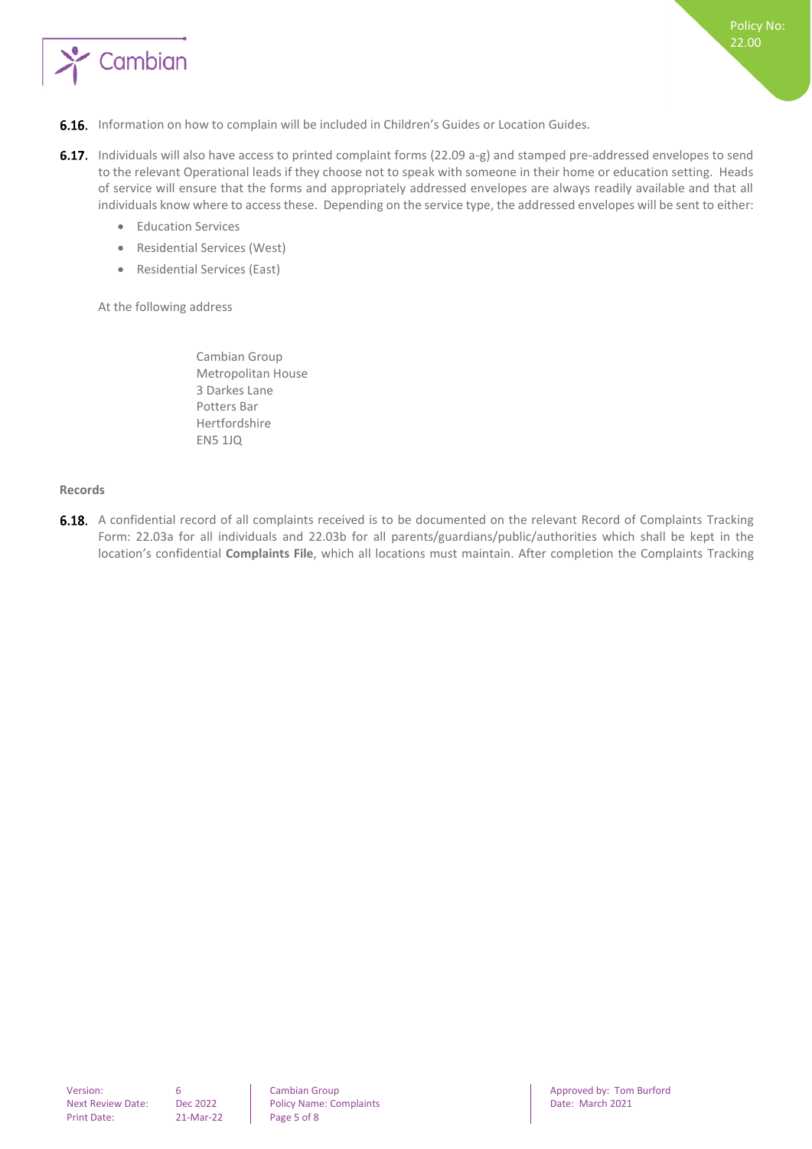

- **6.16.** Information on how to complain will be included in Children's Guides or Location Guides.
- 6.17. Individuals will also have access to printed complaint forms (22.09 a-g) and stamped pre-addressed envelopes to send to the relevant Operational leads if they choose not to speak with someone in their home or education setting. Heads of service will ensure that the forms and appropriately addressed envelopes are always readily available and that all individuals know where to access these. Depending on the service type, the addressed envelopes will be sent to either:
	- Education Services
	- Residential Services (West)
	- Residential Services (East)

At the following address

Cambian Group Metropolitan House 3 Darkes Lane Potters Bar Hertfordshire EN5 1JQ

#### <span id="page-4-0"></span>**Records**

6.18. A confidential record of all complaints received is to be documented on the relevant Record of Complaints Tracking Form: 22.03a for all individuals and 22.03b for all parents/guardians/public/authorities which shall be kept in the location's confidential **Complaints File**, which all locations must maintain. After completion the Complaints Tracking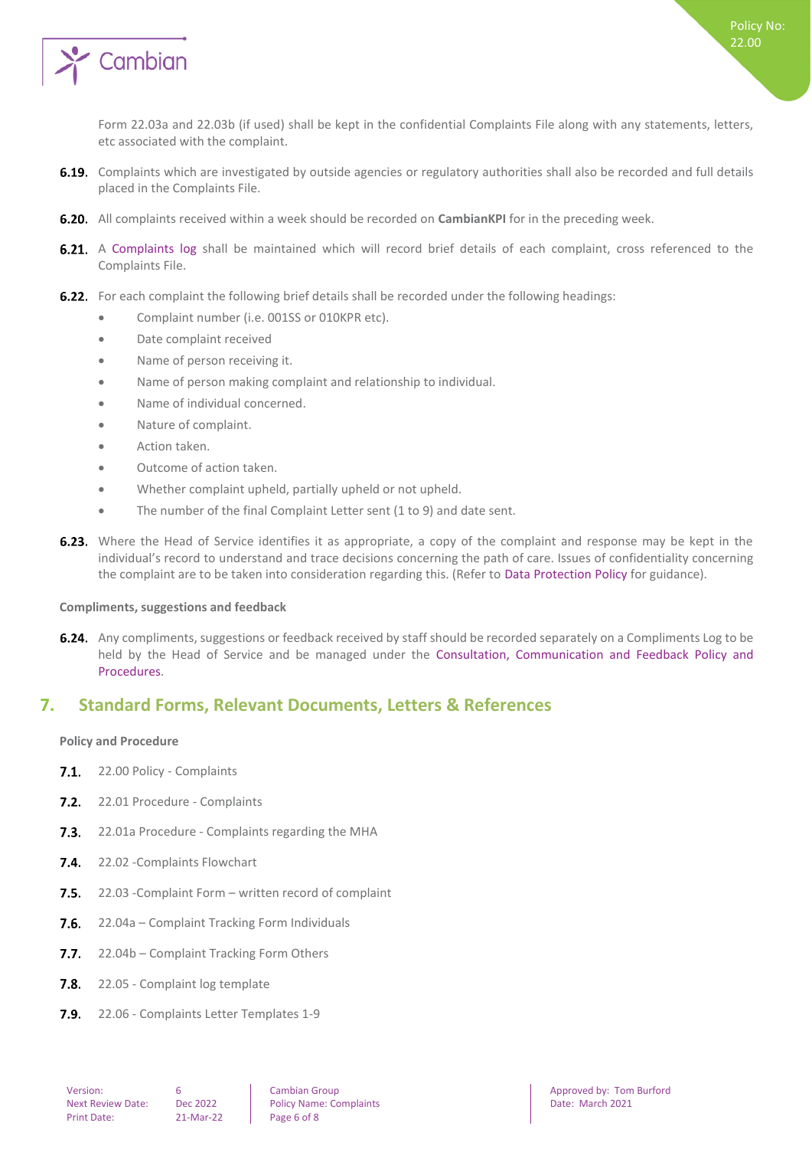

Form 22.03a and 22.03b (if used) shall be kept in the confidential Complaints File along with any statements, letters, etc associated with the complaint.

- 6.19. Complaints which are investigated by outside agencies or regulatory authorities shall also be recorded and full details placed in the Complaints File.
- **6.20.** All complaints received within a week should be recorded on **CambianKPI** for in the preceding week.
- 6.21. A Complaints log shall be maintained which will record brief details of each complaint, cross referenced to the Complaints File.
- 6.22. For each complaint the following brief details shall be recorded under the following headings:
	- Complaint number (i.e. 001SS or 010KPR etc).
	- Date complaint received
	- Name of person receiving it.
	- Name of person making complaint and relationship to individual.
	- Name of individual concerned.
	- Nature of complaint.
	- Action taken.
	- Outcome of action taken.
	- Whether complaint upheld, partially upheld or not upheld.
	- The number of the final Complaint Letter sent (1 to 9) and date sent.
- **6.23.** Where the Head of Service identifies it as appropriate, a copy of the complaint and response may be kept in the individual's record to understand and trace decisions concerning the path of care. Issues of confidentiality concerning the complaint are to be taken into consideration regarding this. (Refer to Data Protection Policy for guidance).

#### <span id="page-5-0"></span>**Compliments, suggestions and feedback**

**6.24.** Any compliments, suggestions or feedback received by staff should be recorded separately on a Compliments Log to be held by the Head of Service and be managed under the Consultation, Communication and Feedback Policy and Procedures.

## <span id="page-5-1"></span>**7. Standard Forms, Relevant Documents, Letters & References**

#### <span id="page-5-2"></span>**Policy and Procedure**

- 7.1. 22.00 Policy Complaints
- 7.2. 22.01 Procedure Complaints
- **7.3.** 22.01a Procedure Complaints regarding the MHA
- 7.4. 22.02 Complaints Flowchart
- $7.5.$ 22.03 -Complaint Form – written record of complaint
- $7.6.$ 22.04a – Complaint Tracking Form Individuals
- $7.7.$ 22.04b – Complaint Tracking Form Others
- $7.8.$ 22.05 - Complaint log template
- 22.06 Complaints Letter Templates 1-9 $7.9.$

Next Review Date: Dec 2022 Policy Name: Complaints Date: March 2021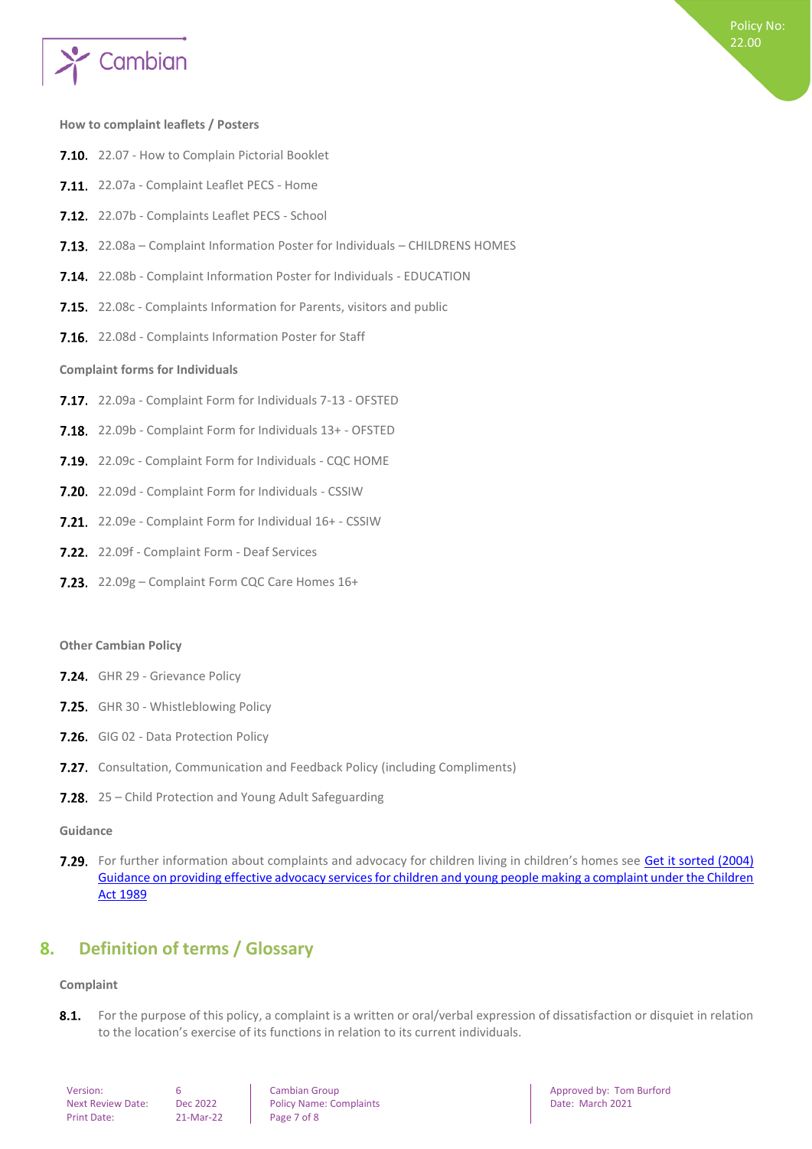

#### <span id="page-6-0"></span>**How to complaint leaflets / Posters**

- 7.10. 22.07 How to Complain Pictorial Booklet
- 7.11. 22.07a Complaint Leaflet PECS Home
- 7.12. 22.07b Complaints Leaflet PECS School
- 7.13. 22.08a Complaint Information Poster for Individuals CHILDRENS HOMES
- 7.14. 22.08b Complaint Information Poster for Individuals EDUCATION
- 7.15. 22.08c Complaints Information for Parents, visitors and public
- <span id="page-6-1"></span>7.16. 22.08d - Complaints Information Poster for Staff

#### **Complaint forms for Individuals**

- 7.17. 22.09a Complaint Form for Individuals 7-13 OFSTED
- 7.18. 22.09b Complaint Form for Individuals 13+ OFSTED
- 7.19. 22.09c Complaint Form for Individuals CQC HOME
- **7.20.** 22.09d Complaint Form for Individuals CSSIW
- 7.21. 22.09e Complaint Form for Individual 16+ CSSIW
- 7.22. 22.09f Complaint Form Deaf Services
- 7.23. 22.09g Complaint Form CQC Care Homes 16+

#### **Other Cambian Policy**

- 7.24. GHR 29 Grievance Policy
- 7.25. GHR 30 Whistleblowing Policy
- 7.26. GIG 02 Data Protection Policy
- **7.27.** Consultation, Communication and Feedback Policy (including Compliments)
- 7.28. 25 Child Protection and Young Adult Safeguarding

#### **Guidance**

7.29. For further information about complaints and advocacy for children living in children's homes see Get it sorted (2004) [Guidance on providing effective advocacy services for children and young people making a complaint under the Children](https://www.gov.uk/government/publications/advocacy-services-for-children-and-young-people)  [Act 1989](https://www.gov.uk/government/publications/advocacy-services-for-children-and-young-people)

## <span id="page-6-2"></span>**8. Definition of terms / Glossary**

#### <span id="page-6-3"></span>**Complaint**

 $8.1.$ For the purpose of this policy, a complaint is a written or oral/verbal expression of dissatisfaction or disquiet in relation to the location's exercise of its functions in relation to its current individuals.

| Version:                |  |
|-------------------------|--|
| <b>Next Review Date</b> |  |
| <b>Print Date:</b>      |  |

 $P = P = P$ 

Next Review Date: Online Policy Name: Complaints Date: Date: March 2021

**Version: 6 Cambian Group Approved by: Tom Burford Approved by: Tom Burford Approved by: Tom Burford**